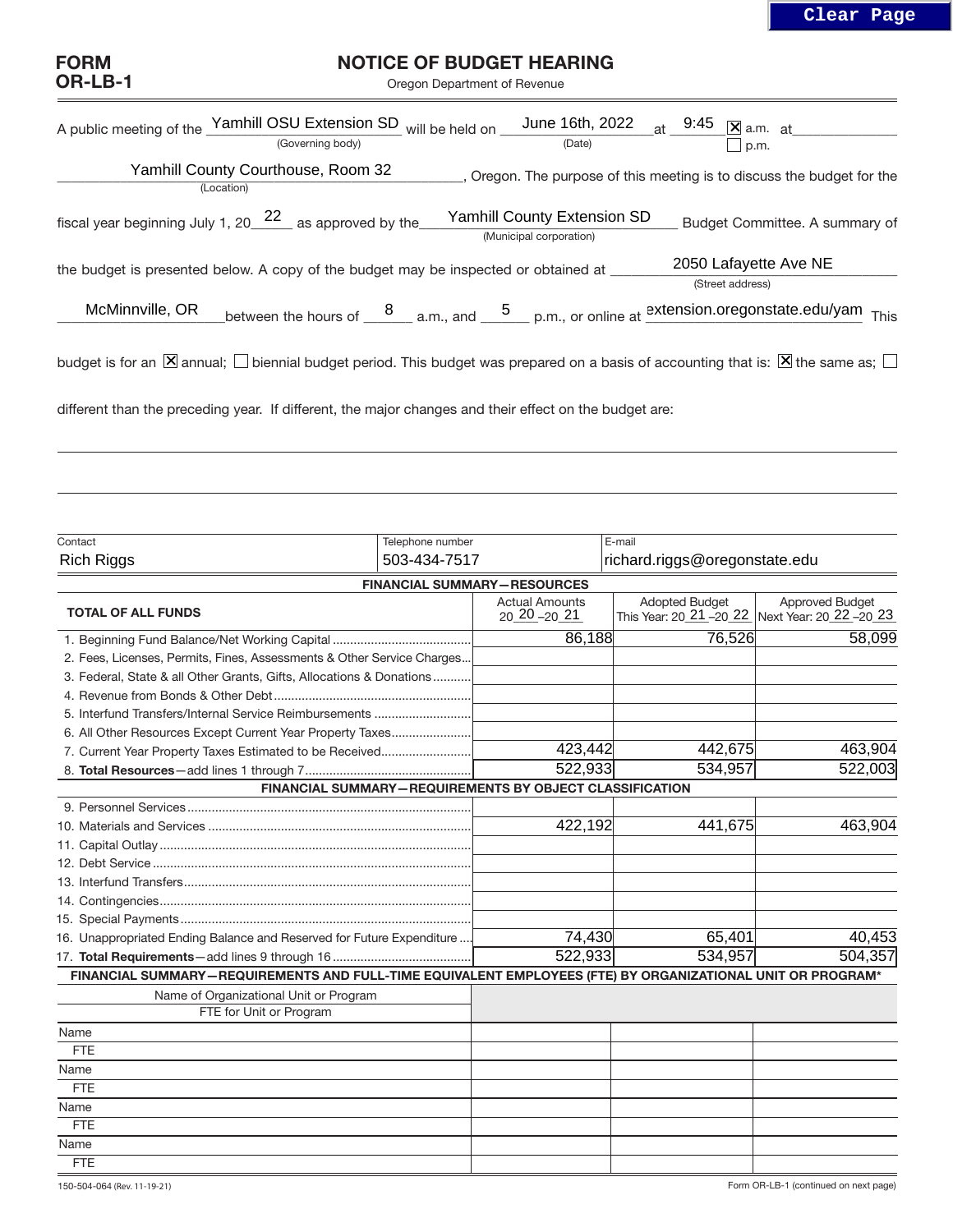## FORM OR-LB-1

## NOTICE OF BUDGET HEARING

Oregon Department of Revenue

|                 | A public meeting of the Yamhill OSU Extension SD will be held on $\frac{\text{June 16th, 2022}}{\text{(Date)}}$ at $\frac{9:45}{\Box}$ a.m. at public meeting of the Yamhill OSU Extension SD will be held on $\frac{\text{June 16th, 2022}}{\text{(Date)}}$ at $\frac{9:45}{\Box}$ p |                                                        |                                                                         |                                |
|-----------------|---------------------------------------------------------------------------------------------------------------------------------------------------------------------------------------------------------------------------------------------------------------------------------------|--------------------------------------------------------|-------------------------------------------------------------------------|--------------------------------|
|                 | Yamhill County Courthouse, Room 32<br>(Location)                                                                                                                                                                                                                                      |                                                        | _, Oregon. The purpose of this meeting is to discuss the budget for the |                                |
|                 | fiscal year beginning July 1, 20 $\frac{22}{ }$ as approved by the                                                                                                                                                                                                                    | Yamhill County Extension SD<br>(Municipal corporation) |                                                                         | Budget Committee. A summary of |
|                 | the budget is presented below. A copy of the budget may be inspected or obtained at _                                                                                                                                                                                                 |                                                        | 2050 Lafayette Ave NE<br>(Street address)                               |                                |
| McMinnville, OR | Letween the hours of $\frac{8}{\text{max}}$ a.m., and $\frac{5}{\text{max}}$ p.m., or online at $\frac{\text{extension}.\text{oregonstate.edu/}\text{yam}}{\text{max}}$                                                                                                               |                                                        |                                                                         |                                |
|                 | budget is for an $\boxtimes$ annual; $\Box$ biennial budget period. This budget was prepared on a basis of accounting that is: $\boxtimes$ the same as; $\Box$                                                                                                                        |                                                        |                                                                         |                                |
|                 | different than the preceding year. If different, the major changes and their effect on the budget are:                                                                                                                                                                                |                                                        |                                                                         |                                |

| Contact                                                                                                    | Telephone number |                                       | E-mail                        |                                                                           |
|------------------------------------------------------------------------------------------------------------|------------------|---------------------------------------|-------------------------------|---------------------------------------------------------------------------|
| <b>Rich Riggs</b>                                                                                          | 503-434-7517     |                                       | richard.riggs@oregonstate.edu |                                                                           |
|                                                                                                            |                  | <b>FINANCIAL SUMMARY-RESOURCES</b>    |                               |                                                                           |
| <b>TOTAL OF ALL FUNDS</b>                                                                                  |                  | <b>Actual Amounts</b><br>20 20 -20 21 | <b>Adopted Budget</b>         | <b>Approved Budget</b><br>This Year: 20 21 -20 22 Next Year: 20 22 -20 23 |
|                                                                                                            |                  | 86,188                                | 76,526                        | 58,099                                                                    |
| 2. Fees, Licenses, Permits, Fines, Assessments & Other Service Charges                                     |                  |                                       |                               |                                                                           |
| 3. Federal, State & all Other Grants, Gifts, Allocations & Donations                                       |                  |                                       |                               |                                                                           |
|                                                                                                            |                  |                                       |                               |                                                                           |
| 5. Interfund Transfers/Internal Service Reimbursements                                                     |                  |                                       |                               |                                                                           |
| 6. All Other Resources Except Current Year Property Taxes                                                  |                  |                                       |                               |                                                                           |
| 7. Current Year Property Taxes Estimated to be Received                                                    |                  | 423,442                               | 442,675                       | 463,904                                                                   |
|                                                                                                            |                  | 522,933                               | 534,957                       | 522,003                                                                   |
| <b>FINANCIAL SUMMARY-REQUIREMENTS BY OBJECT CLASSIFICATION</b>                                             |                  |                                       |                               |                                                                           |
|                                                                                                            |                  |                                       |                               |                                                                           |
|                                                                                                            |                  | 422,192                               | 441,675                       | 463,904                                                                   |
|                                                                                                            |                  |                                       |                               |                                                                           |
|                                                                                                            |                  |                                       |                               |                                                                           |
|                                                                                                            |                  |                                       |                               |                                                                           |
|                                                                                                            |                  |                                       |                               |                                                                           |
|                                                                                                            |                  |                                       |                               |                                                                           |
| 16. Unappropriated Ending Balance and Reserved for Future Expenditure                                      |                  | 74,430                                | 65,401                        | 40,453                                                                    |
|                                                                                                            |                  | 522,933                               | 534,957                       | 504,357                                                                   |
| FINANCIAL SUMMARY-REQUIREMENTS AND FULL-TIME EQUIVALENT EMPLOYEES (FTE) BY ORGANIZATIONAL UNIT OR PROGRAM* |                  |                                       |                               |                                                                           |
| Name of Organizational Unit or Program                                                                     |                  |                                       |                               |                                                                           |
| FTE for Unit or Program                                                                                    |                  |                                       |                               |                                                                           |
| Name                                                                                                       |                  |                                       |                               |                                                                           |
| <b>FTE</b>                                                                                                 |                  |                                       |                               |                                                                           |
| Name                                                                                                       |                  |                                       |                               |                                                                           |
| <b>FTE</b>                                                                                                 |                  |                                       |                               |                                                                           |
| Name                                                                                                       |                  |                                       |                               |                                                                           |
| <b>FTE</b>                                                                                                 |                  |                                       |                               |                                                                           |
| Name                                                                                                       |                  |                                       |                               |                                                                           |
| <b>FTE</b>                                                                                                 |                  |                                       |                               |                                                                           |